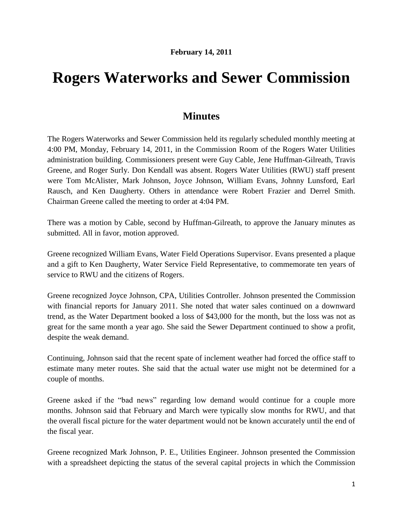## **Rogers Waterworks and Sewer Commission**

## **Minutes**

The Rogers Waterworks and Sewer Commission held its regularly scheduled monthly meeting at 4:00 PM, Monday, February 14, 2011, in the Commission Room of the Rogers Water Utilities administration building. Commissioners present were Guy Cable, Jene Huffman-Gilreath, Travis Greene, and Roger Surly. Don Kendall was absent. Rogers Water Utilities (RWU) staff present were Tom McAlister, Mark Johnson, Joyce Johnson, William Evans, Johnny Lunsford, Earl Rausch, and Ken Daugherty. Others in attendance were Robert Frazier and Derrel Smith. Chairman Greene called the meeting to order at 4:04 PM.

There was a motion by Cable, second by Huffman-Gilreath, to approve the January minutes as submitted. All in favor, motion approved.

Greene recognized William Evans, Water Field Operations Supervisor. Evans presented a plaque and a gift to Ken Daugherty, Water Service Field Representative, to commemorate ten years of service to RWU and the citizens of Rogers.

Greene recognized Joyce Johnson, CPA, Utilities Controller. Johnson presented the Commission with financial reports for January 2011. She noted that water sales continued on a downward trend, as the Water Department booked a loss of \$43,000 for the month, but the loss was not as great for the same month a year ago. She said the Sewer Department continued to show a profit, despite the weak demand.

Continuing, Johnson said that the recent spate of inclement weather had forced the office staff to estimate many meter routes. She said that the actual water use might not be determined for a couple of months.

Greene asked if the "bad news" regarding low demand would continue for a couple more months. Johnson said that February and March were typically slow months for RWU, and that the overall fiscal picture for the water department would not be known accurately until the end of the fiscal year.

Greene recognized Mark Johnson, P. E., Utilities Engineer. Johnson presented the Commission with a spreadsheet depicting the status of the several capital projects in which the Commission